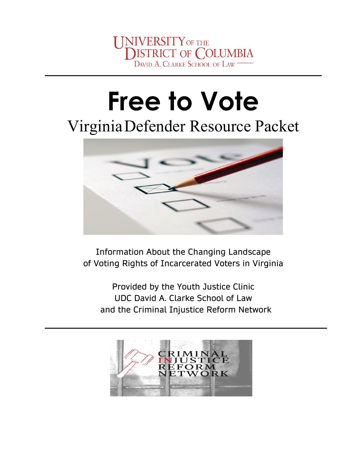# **Free to Vote**

# VirginiaDefender Resource Packet



Information About the Changing Landscape of Voting Rights of Incarcerated Voters in Virginia

Provided by the Youth Justice Clinic UDC David A. Clarke School of Law and the Criminal Injustice Reform Network

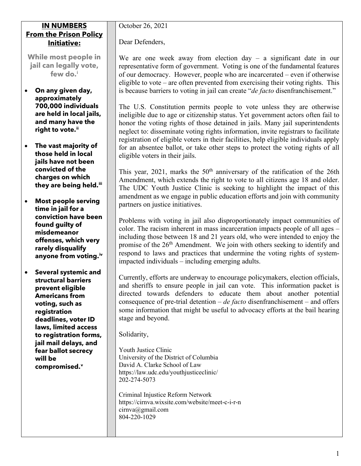#### **IN NUMBERS From the Prison Policy Initiative:**

**While most people in jail can legally vote, few do.[i](#page-5-0)**

- **On any given day, approximately 700,000 individuals are held in local jails, and many have the right to vote.[ii](#page-5-1)**
- **The vast majority of those held in local jails have not been convicted of the charges on which they are being held. [iii](#page-5-2)**
- **Most people serving time in jail for a conviction have been found guilty of misdemeanor offenses, which very rarely disqualify anyone from voting[.iv](#page-5-3)**
- **Several systemic and structural barriers prevent eligible Americans from voting, such as registration deadlines, voter ID laws, limited access to registration forms, jail mail delays, and fear ballot secrecy will be compromised. [v](#page-5-4)**

October 26, 2021

Dear Defenders,

We are one week away from election day  $-$  a significant date in our representative form of government. Voting is one of the fundamental features of our democracy. However, people who are incarcerated – even if otherwise eligible to vote – are often prevented from exercising their voting rights. This is because barriers to voting in jail can create "*de facto* disenfranchisement."

The U.S. Constitution permits people to vote unless they are otherwise ineligible due to age or citizenship status. Yet government actors often fail to honor the voting rights of those detained in jails. Many jail superintendents neglect to: disseminate voting rights information, invite registrars to facilitate registration of eligible voters in their facilities, help eligible individuals apply for an absentee ballot, or take other steps to protect the voting rights of all eligible voters in their jails.

This year, 2021, marks the  $50<sup>th</sup>$  anniversary of the ratification of the 26th Amendment, which extends the right to vote to all citizens age 18 and older. The UDC Youth Justice Clinic is seeking to highlight the impact of this amendment as we engage in public education efforts and join with community partners on justice initiatives.

Problems with voting in jail also disproportionately impact communities of color. The racism inherent in mass incarceration impacts people of all ages – including those between 18 and 21 years old, who were intended to enjoy the promise of the  $26<sup>th</sup>$  Amendment. We join with others seeking to identify and respond to laws and practices that undermine the voting rights of systemimpacted individuals – including emerging adults.

Currently, efforts are underway to encourage policymakers, election officials, and sheriffs to ensure people in jail can vote. This information packet is directed towards defenders to educate them about another potential consequence of pre-trial detention – *de facto* disenfranchisement – and offers some information that might be useful to advocacy efforts at the bail hearing stage and beyond.

Solidarity,

Youth Justice Clinic University of the District of Columbia David A. Clarke School of Law https://law.udc.edu/youthjusticeclinic/ 202-274-5073

Criminal Injustice Reform Network https://cirnva.wixsite.com/website/meet-c-i-r-n [cirnva@gmail.com](mailto:cirnva@gmail.com) 804-220-1029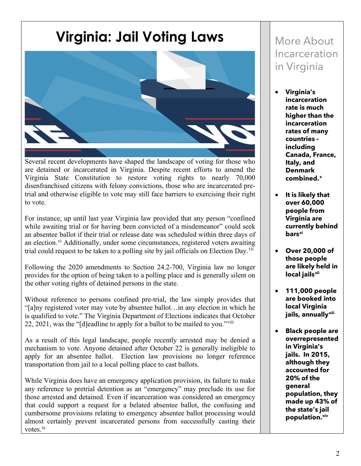### **Virginia: Jail Voting Laws**



Several recent developments have shaped the landscape of voting for those who are detained or incarcerated in Virginia. Despite recent efforts to amend the Virginia State Constitution to restore voting rights to nearly 70,000 disenfranchised citizens with felony convictions, those who are incarcerated pretrial and otherwise eligible to vote may still face barriers to exercising their right to vote.

For instance, up until last year Virginia law provided that any person "confined while awaiting trial or for having been convicted of a misdemeanor" could seek an absentee ballot if their trial or release date was scheduled within three days of an election.<sup>[vi](#page-5-5)</sup> Additionally, under some circumstances, registered voters awaiting trial could request to be taken to a polling site by jail officials on Election Day.<sup>[vii](#page-5-6)</sup>

Following the 2020 amendments to Section 24.2-700, Virginia law no longer provides for the option of being taken to a polling place and is generally silent on the other voting rights of detained persons in the state.

Without reference to persons confined pre-trial, the law simply provides that "[a]ny registered voter may vote by absentee ballot…in any election in which he is qualified to vote." The Virginia Department of Elections indicates that October 22, 2021, was the "[d]eadline to apply for a ballot to be mailed to you."<sup>[viii](#page-5-7)</sup>

As a result of this legal landscape, people recently arrested may be denied a mechanism to vote. Anyone detained after October 22 is generally ineligible to apply for an absentee ballot. Election law provisions no longer reference transportation from jail to a local polling place to cast ballots.

While Virginia does have an emergency application provision, its failure to make any reference to pretrial detention as an "emergency" may preclude its use for those arrested and detained. Even if incarceration was considered an emergency that could support a request for a belated absentee ballot, the confusing and cumbersome provisions relating to emergency absentee ballot processing would almost certainly prevent incarcerated persons from successfully casting their votes.<sup>[ix](#page-5-8)</sup>

### More About Incarceration in Virginia

- **Virginia's incarceration rate is much higher than the incarceration rates of many countries including Canada, France, Italy, and Denmark combined.[x](#page-5-9)**
- **It is likely that over 60,000 people from Virginia are currently behind bars[xi](#page-5-10)**
- **Over 20,000 of those people are likely held in local jails[xii](#page-5-11)**
- **111,000 people are booked into local Virginia jails, annually[xiii](#page-5-12)**
- **Black people are overrepresented in Virginia's jails. In 2015, although they accounted for 20% of the general population, they made up 43% of the state's jail population.[xiv](#page-5-13)**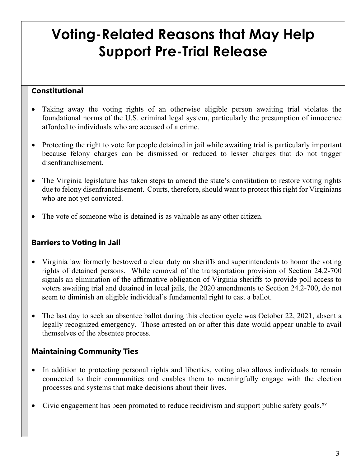## **Voting-Related Reasons that May Help Support Pre-Trial Release**

#### **Constitutional**

- Taking away the voting rights of an otherwise eligible person awaiting trial violates the foundational norms of the U.S. criminal legal system, particularly the presumption of innocence afforded to individuals who are accused of a crime.
- Protecting the right to vote for people detained in jail while awaiting trial is particularly important because felony charges can be dismissed or reduced to lesser charges that do not trigger disenfranchisement.
- The Virginia legislature has taken steps to amend the state's constitution to restore voting rights due to felony disenfranchisement. Courts, therefore, should want to protect this right for Virginians who are not yet convicted.
- The vote of someone who is detained is as valuable as any other citizen.

#### **Barriers to Voting in Jail**

- Virginia law formerly bestowed a clear duty on sheriffs and superintendents to honor the voting rights of detained persons. While removal of the transportation provision of Section 24.2-700 signals an elimination of the affirmative obligation of Virginia sheriffs to provide poll access to voters awaiting trial and detained in local jails, the 2020 amendments to Section 24.2-700, do not seem to diminish an eligible individual's fundamental right to cast a ballot.
- The last day to seek an absentee ballot during this election cycle was October 22, 2021, absent a legally recognized emergency. Those arrested on or after this date would appear unable to avail themselves of the absentee process.

#### **Maintaining Community Ties**

- In addition to protecting personal rights and liberties, voting also allows individuals to remain connected to their communities and enables them to meaningfully engage with the election processes and systems that make decisions about their lives.
- Civic engagement has been promoted to reduce recidivism and support public safety goals. $x<sub>v</sub>$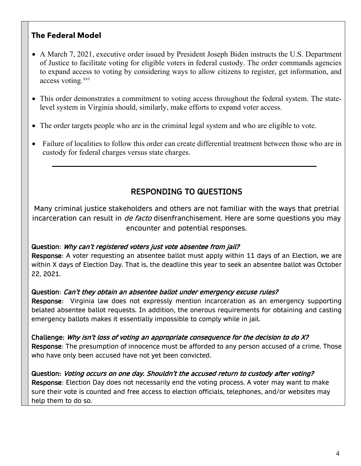#### **The Federal Model**

- A March 7, 2021, executive order issued by President Joseph Biden instructs the U.S. Department of Justice to facilitate voting for eligible voters in federal custody. The order commands agencies to expand access to voting by considering ways to allow citizens to register, get information, and access voting.<sup>[xvi](#page-5-15)</sup>
- This order demonstrates a commitment to voting access throughout the federal system. The statelevel system in Virginia should, similarly, make efforts to expand voter access.
- The order targets people who are in the criminal legal system and who are eligible to vote.
- Failure of localities to follow this order can create differential treatment between those who are in custody for federal charges versus state charges.

#### RESPONDING TO QUESTIONS

Many criminal justice stakeholders and others are not familiar with the ways that pretrial incarceration can result in *de facto* disenfranchisement. Here are some questions you may encounter and potential responses.

#### Question: Why can't registered voters just vote absentee from jail?

Response: A voter requesting an absentee ballot must apply within 11 days of an Election, we are within X days of Election Day. That is, the deadline this year to seek an absentee ballot was October 22, 2021.

#### Question: Can't they obtain an absentee ballot under emergency excuse rules?

Response: Virginia law does not expressly mention incarceration as an emergency supporting belated absentee ballot requests. In addition, the onerous requirements for obtaining and casting emergency ballots makes it essentially impossible to comply while in jail.

Challenge: Why isn't loss of voting an appropriate consequence for the decision to do X? Response: The presumption of innocence must be afforded to any person accused of a crime. Those who have only been accused have not yet been convicted.

Question: Voting occurs on one day. Shouldn't the accused return to custody after voting? Response: Election Day does not necessarily end the voting process. A voter may want to make sure their vote is counted and free access to election officials, telephones, and/or websites may help them to do so.